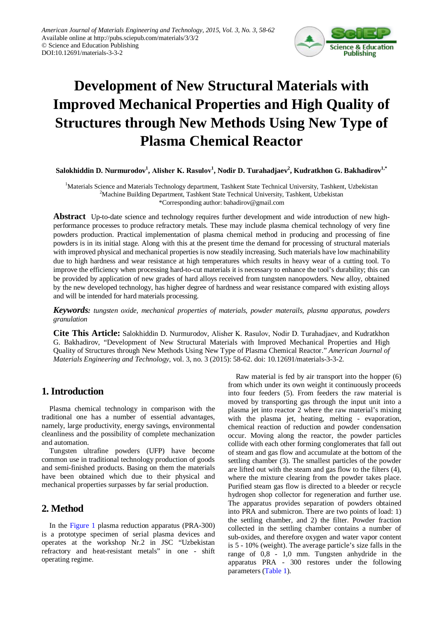

# **Development of New Structural Materials with Improved Mechanical Properties and High Quality of Structures through New Methods Using New Type of Plasma Chemical Reactor**

 $\bf S$ alokhiddin D. Nurmurodov $^1$ , Alisher K. Rasulov $^1$ , Nodir D. Turahadjaev $^2$ , Kudratkhon G. Bakhadirov $^{1,*}$ 

<sup>1</sup>Materials Science and Materials Technology department, Tashkent State Technical University, Tashkent, Uzbekistan <sup>2</sup>Machine Building Department, Tashkent State Technical University, Tashkent, Uzbekistan \*Corresponding author: bahadirov@gmail.com

**Abstract** Up-to-date science and technology requires further development and wide introduction of new highperformance processes to produce refractory metals. These may include plasma chemical technology of very fine powders production. Practical implementation of plasma chemical method in producing and processing of fine powders is in its initial stage. Along with this at the present time the demand for processing of structural materials with improved physical and mechanical properties is now steadily increasing. Such materials have low machinability due to high hardness and wear resistance at high temperatures which results in heavy wear of a cutting tool. To improve the efficiency when processing hard-to-cut materials it is necessary to enhance the tool's durability; this can be provided by application of new grades of hard alloys received from tungsten nanopowders. New alloy, obtained by the new developed technology, has higher degree of hardness and wear resistance compared with existing alloys and will be intended for hard materials processing.

*Keywords: tungsten oxide, mechanical properties of materials, powder materails, plasma apparatus, powders granulation*

**Cite This Article:** Salokhiddin D. Nurmurodov, Аlisher K. Rasulov, Nodir D. Turahadjaev, and Kudratkhon G. Bakhadirov, "Development of New Structural Materials with Improved Mechanical Properties and High Quality of Structures through New Methods Using New Type of Plasma Chemical Reactor." *American Journal of Materials Engineering and Technology*, vol. 3, no. 3 (2015): 58-62. doi: 10.12691/materials-3-3-2.

# **1. Introduction**

Plasma chemical technology in comparison with the traditional one has a number of essential advantages, namely, large productivity, energy savings, environmental cleanliness and the possibility of complete mechanization and automation.

Tungsten ultrafine powders (UFP) have become common use in traditional technology production of goods and semi-finished products. Basing on them the materials have been obtained which due to their physical and mechanical properties surpasses by far serial production.

# **2. Method**

In the [Figure 1](#page-1-0) plasma reduction apparatus (PRA-300) is a prototype specimen of serial plasma devices and operates at the workshop Nr.2 in JSC "Uzbekistan refractory and heat-resistant metals" in one - shift operating regime.

Raw material is fed by air transport into the hopper (6) from which under its own weight it continuously proceeds into four feeders (5). From feeders the raw material is moved by transporting gas through the input unit into a plasma jet into reactor 2 where the raw material's mixing with the plasma jet, heating, melting - evaporation, chemical reaction of reduction and powder condensation occur. Moving along the reactor, the powder particles collide with each other forming conglomerates that fall out of steam and gas flow and accumulate at the bottom of the settling chamber (3). The smallest particles of the powder are lifted out with the steam and gas flow to the filters (4), where the mixture clearing from the powder takes place. Purified steam gas flow is directed to a bleeder or recycle hydrogen shop collector for regeneration and further use. The apparatus provides separation of powders obtained into PRA and submicron. There are two points of load: 1) the settling chamber, and 2) the filter. Powder fraction collected in the settling chamber contains a number of sub-oxides, and therefore oxygen and water vapor content is 5 - 10% (weight). The average particle's size falls in the range of 0,8 - 1,0 mm. Tungsten anhydride in the apparatus PRA - 300 restores under the following parameters [\(Table 1\)](#page-1-1).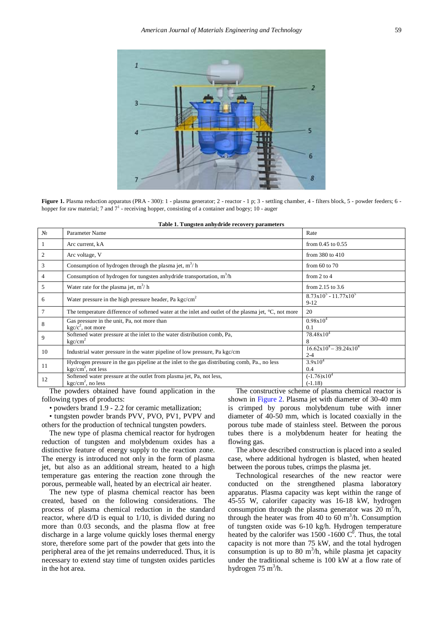<span id="page-1-0"></span>

Figure 1. Plasma reduction apparatus (PRA - 300): 1 - plasma generator; 2 - reactor - 1 p; 3 - settling chamber, 4 - filters block, 5 - powder feeders; 6 hopper for raw material; 7 and  $7<sup>1</sup>$  - receiving hopper, consisting of a container and bogey; 10 - auger

<span id="page-1-1"></span>

| N <sub>2</sub>  | Parameter Name                                                                                                        | Rate                                               |
|-----------------|-----------------------------------------------------------------------------------------------------------------------|----------------------------------------------------|
| $\mathbf{1}$    | Arc current, kA                                                                                                       | from $0.45$ to $0.55$                              |
| 2               | Arc voltage, V                                                                                                        | from $380$ to $410$                                |
| 3               | Consumption of hydrogen through the plasma jet, $m^3/h$                                                               | from $60$ to $70$                                  |
| $\overline{4}$  | Consumption of hydrogen for tungsten anhydride transportation, $m^3/h$                                                | from $2$ to $4$                                    |
| 5               | Water rate for the plasma jet, $m^3/h$                                                                                | from $2.15$ to $3.6$                               |
| 6               | Water pressure in the high pressure header, Pa $kgc/cm2$                                                              | $8.73x10^5 - 11.77x10^5$<br>$9-12$                 |
| $7\phantom{.0}$ | The temperature difference of softened water at the inlet and outlet of the plasma jet, $^{\circ}C$ , not more        | 20                                                 |
| 8               | Gas pressure in the unit, Pa, not more than<br>$\text{kgc}/c^2$ , not more                                            | $0.98x10^{4}$<br>0.1                               |
| 9               | Softened water pressure at the inlet to the water distribution comb, Pa,<br>kgc/cm <sup>2</sup>                       | $78.48x10^4$<br>8                                  |
| 10              | Industrial water pressure in the water pipeline of low pressure, Pa kgc/cm                                            | $16.62 \times 10^4 - 39.24 \times 10^4$<br>$2 - 4$ |
| <sup>11</sup>   | Hydrogen pressure in the gas pipeline at the inlet to the gas distributing comb, Pa., no less<br>$kgc/cm2$ , not less | $3.9x10^{4}$<br>0.4                                |
| 12              | Softened water pressure at the outlet from plasma jet, Pa, not less,<br>$kgc/cm2$ , no less                           | $(-1.76)x10^{4}$<br>$(-1.18)$                      |

| Table 1. Tungsten anhydride recovery parameters |
|-------------------------------------------------|
|-------------------------------------------------|

The powders obtained have found application in the following types of products:

• powders brand 1.9 - 2.2 for ceramic metallization;

• tungsten powder brands PVV, PVO, PV1, PVPV and others for the production of technical tungsten powders.

The new type of plasma chemical reactor for hydrogen reduction of tungsten and molybdenum oxides has a distinctive feature of energy supply to the reaction zone. The energy is introduced not only in the form of plasma jet, but also as an additional stream, heated to a high temperature gas entering the reaction zone through the porous, permeable wall, heated by an electrical air heater.

The new type of plasma chemical reactor has been created, based on the following considerations. The process of plasma chemical reduction in the standard reactor, where d/D is equal to 1/10, is divided during no more than 0.03 seconds, and the plasma flow at free discharge in a large volume quickly loses thermal energy store, therefore some part of the powder that gets into the peripheral area of the jet remains underreduced. Thus, it is necessary to extend stay time of tungsten oxides particles in the hot area.

The constructive scheme of plasma chemical reactor is shown in [Figure 2.](#page-2-0) Plasma jet with diameter of 30-40 mm is crimped by porous molybdenum tube with inner diameter of 40-50 mm, which is located coaxially in the porous tube made of stainless steel. Between the porous tubes there is a molybdenum heater for heating the flowing gas.

The above described construction is placed into a sealed case, where additional hydrogen is blasted, when heated between the porous tubes, crimps the plasma jet.

Technological researches of the new reactor were conducted on the strengthened plasma laboratory apparatus. Plasma capacity was kept within the range of 45-55 W, calorifer capacity was 16-18 kW, hydrogen consumption through the plasma generator was  $20 \text{ m}^3/\text{h}$ , through the heater was from 40 to 60  $\text{m}^3$ /h. Consumption of tungsten oxide was 6-10 kg/h. Hydrogen temperature heated by the calorifer was 1500 -1600  $C^0$ . Thus, the total capacity is not more than 75 kW, and the total hydrogen consumption is up to 80 m<sup>3</sup>/h, while plasma jet capacity under the traditional scheme is 100 kW at a flow rate of hydrogen  $75 \text{ m}^3/\text{h}$ .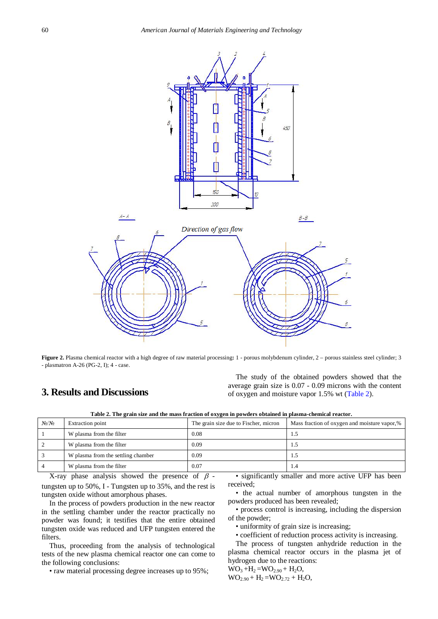<span id="page-2-0"></span>

**Figure 2.** Plasma chemical reactor with a high degree of raw material processing**:** 1 - porous molybdenum cylinder, 2 – porous stainless steel cylinder; 3 - plasmatron A-26 (PG-2, I); 4 - case.

## **3. Results and Discussions**

The study of the obtained powders showed that the average grain size is 0.07 - 0.09 microns with the content of oxygen and moisture vapor 1.5% wt [\(Table 2\)](#page-2-1).

| Table 2. The grain size and the mass fraction of oxygen in powders obtained in plasma-chemical reactor. |                                                                                                                |  |
|---------------------------------------------------------------------------------------------------------|----------------------------------------------------------------------------------------------------------------|--|
|                                                                                                         | - Contract Andreas Andreas Andreas Andreas Andreas Andreas Andreas Andreas Andreas Andreas Andreas Andreas And |  |

<span id="page-2-1"></span>

| $N_2/N_2$ | Extraction point                   | The grain size due to Fischer, micron | Mass fraction of oxygen and moisture vapor,% |
|-----------|------------------------------------|---------------------------------------|----------------------------------------------|
|           | W plasma from the filter           | 0.08                                  | 1.5                                          |
|           | W plasma from the filter           | 0.09                                  | 1.5                                          |
|           | W plasma from the settling chamber | 0.09                                  | 1.5                                          |
|           | W plasma from the filter           | 0.07                                  | 1.4                                          |

X-ray phase analysis showed the presence of  $\beta$ tungsten up to 50%, I - Tungsten up to 35%, and the rest is tungsten oxide without amorphous phases.

In the process of powders production in the new reactor in the settling chamber under the reactor practically no powder was found; it testifies that the entire obtained tungsten oxide was reduced and UFP tungsten entered the filters.

Thus, proceeding from the analysis of technological tests of the new plasma chemical reactor one can come to the following conclusions:

• raw material processing degree increases up to 95%;

• significantly smaller and more active UFP has been received;

• the actual number of amorphous tungsten in the powders produced has been revealed;

• process control is increasing, including the dispersion of the powder;

• uniformity of grain size is increasing;

• coefficient of reduction process activity is increasing.

The process of tungsten anhydride reduction in the plasma chemical reactor occurs in the plasma jet of hydrogen due to the reactions:

 $WO_3 + H_2 = WO_{2.90} + H_2O$  $WO_{2.90} + H_2 = WO_{2.72} + H_2O$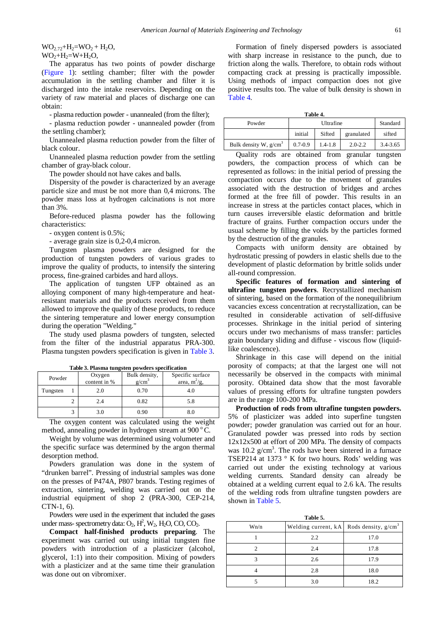$WO_{2.72}+H_2=WO_2 + H_2O$  $WO_2+H_2=W+H_2O$ ,

The apparatus has two points of powder discharge [\(Figure 1\)](#page-1-0): settling chamber; filter with the powder accumulation in the settling chamber and filter it is discharged into the intake reservoirs. Depending on the variety of raw material and places of discharge one can obtain:

- plasma reduction powder - unannealed (from the filter);

- plasma reduction powder - unannealed powder (from the settling chamber);

Unannealed plasma reduction powder from the filter of black colour.

Unannealed plasma reduction powder from the settling chamber of gray-black colour.

The powder should not have cakes and balls.

Dispersity of the powder is characterized by an average particle size and must be not more than 0,4 microns. The powder mass loss at hydrogen calcinations is not more than 3%.

Before-reduced plasma powder has the following characteristics:

- oxygen content is 0.5%;

- average grain size is 0,2-0,4 micron.

Tungsten plasma powders are designed for the production of tungsten powders of various grades to improve the quality of products, to intensify the sintering process, fine-grained carbides and hard alloys.

The application of tungsten UFP obtained as an alloying component of many high-temperature and heatresistant materials and the products received from them allowed to improve the quality of these products, to reduce the sintering temperature and lower energy consumption during the operation "Welding."

The study used plasma powders of tungsten, selected from the filter of the industrial apparatus PRA-300. Plasma tungsten powders specification is given i[n Table 3.](#page-3-0)

<span id="page-3-0"></span>

| Powder   |  | Oxygen<br>content in % | Bulk density,<br>$g/cm^3$ | Specific surface<br>area, $m^2/g$ , |
|----------|--|------------------------|---------------------------|-------------------------------------|
| Tungsten |  | 2.0                    | 0.70                      | 4.0                                 |
|          |  | 2.4                    | 0.82                      | 5.8                                 |
|          |  | 3.0                    | 0.90                      | 8.0                                 |
|          |  |                        |                           | the state of the state of the state |

**Table 3. Plasma tungsten powders specification** 

The oxygen content was calculated using the weight method, annealing powder in hydrogen stream at  $900^{\circ}$ C.

Weight by volume was determined using volumeter and the specific surface was determined by the argon thermal desorption method.

Powders granulation was done in the system of "drunken barrel". Pressing of industrial samples was done on the presses of P474A, P807 brands. Testing regimes of extraction, sintering, welding was carried out on the industrial equipment of shop 2 (PRA-300, CEP-214, CTN-1, 6).

Powders were used in the experiment that included the gases under mass-spectrometry data:  $\overline{O}_2$ ,  $\overline{H}^2$ ,  $W_2$ ,  $H_2O$ ,  $CO$ ,  $CO_2$ .

**Compact half-finished products preparing**. The experiment was carried out using initial tungsten fine powders with introduction of a plasticizer (alcohol, glycerol, 1:1) into their composition. Mixing of powders with a plasticizer and at the same time their granulation was done out on vibromixer.

Formation of finely dispersed powders is associated with sharp increase in resistance to the punch, due to friction along the walls. Therefore, to obtain rods without compacting crack at pressing is practically impossible. Using methods of impact compaction does not give positive results too. The value of bulk density is shown in [Table 4.](#page-3-1)

| Table |  |
|-------|--|
|       |  |

<span id="page-3-1"></span>

| .                       |             |             |             |          |
|-------------------------|-------------|-------------|-------------|----------|
| Powder                  | Ultrafine   |             | Standard    |          |
|                         | initial     | Sifted      | granulated  | sifted   |
| Bulk density W, $g/cm3$ | $0.7 - 0.9$ | $1.4 - 1.8$ | $2.0 - 2.2$ | 3.4-3.65 |

Quality rods are obtained from granular tungsten powders, the compaction process of which can be represented as follows: in the initial period of pressing the compaction occurs due to the movement of granules associated with the destruction of bridges and arches formed at the free fill of powder. This results in an increase in stress at the particles contact places, which in turn causes irreversible elastic deformation and brittle fracture of grains. Further compaction occurs under the usual scheme by filling the voids by the particles formed by the destruction of the granules.

Compacts with uniform density are obtained by hydrostatic pressing of powders in elastic shells due to the development of plastic deformation by brittle solids under all-round compression.

**Specific features of formation and sintering of ultrafine tungsten powders**. Recrystallized mechanism of sintering, based on the formation of the nonequilibrium vacancies excess concentration at recrystallization, can be resulted in considerable activation of self-diffusive processes. Shrinkage in the initial period of sintering occurs under two mechanisms of mass transfer: particles grain boundary sliding and diffuse - viscous flow (liquidlike coalescence).

Shrinkage in this case will depend on the initial porosity of compacts; at that the largest one will not necessarily be observed in the compacts with minimal porosity. Obtained data show that the most favorable values of pressing efforts for ultrafine tungsten powders are in the range 100-200 MPa.

**Production of rods from ultrafine tungsten powders.** 5% of plasticizer was added into superfine tungsten powder; powder granulation was carried out for an hour. Granulated powder was pressed into rods by section 12x12x500 at effort of 200 MPa. The density of compacts was  $10.2$  g/cm<sup>3</sup>. The rods have been sintered in a furnace TSEP214 at 1373 ° K for two hours. Rods' welding was carried out under the existing technology at various welding currents. Standard density can already be obtained at a welding current equal to 2.6 kA. The results of the welding rods from ultrafine tungsten powders are shown in [Table 5.](#page-3-2)

<span id="page-3-2"></span>

| Table 5. |                                             |      |  |  |
|----------|---------------------------------------------|------|--|--|
| Wn/n     | Welding current, $kA$ Rods density, $g/cm3$ |      |  |  |
|          | 2.2                                         | 17.0 |  |  |
|          | 2.4                                         | 17.8 |  |  |
|          | 2.6                                         | 17.9 |  |  |
|          | 2.8                                         | 18.0 |  |  |
|          | 3.0                                         | 18.2 |  |  |